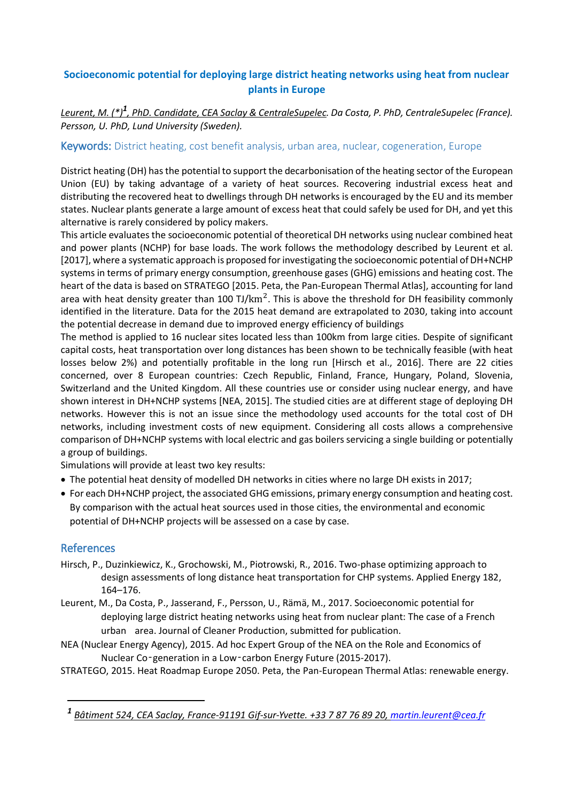## **Socioeconomic potential for deploying large district heating networks using heat from nuclear plants in Europe**

## *Leurent, M. (\*)<sup>1</sup> , PhD. Candidate, CEA Saclay & CentraleSupelec. Da Costa, P. PhD, CentraleSupelec (France). Persson, U. PhD, Lund University (Sweden).*

## Keywords: District heating, cost benefit analysis, urban area, nuclear, cogeneration, Europe

District heating (DH) has the potential to support the decarbonisation of the heating sector of the European Union (EU) by taking advantage of a variety of heat sources. Recovering industrial excess heat and distributing the recovered heat to dwellings through DH networks is encouraged by the EU and its member states. Nuclear plants generate a large amount of excess heat that could safely be used for DH, and yet this alternative is rarely considered by policy makers.

This article evaluates the socioeconomic potential of theoretical DH networks using nuclear combined heat and power plants (NCHP) for base loads. The work follows the methodology described by Leurent et al. [2017], where a systematic approach is proposed for investigating the socioeconomic potential of DH+NCHP systems in terms of primary energy consumption, greenhouse gases (GHG) emissions and heating cost. The heart of the data is based on STRATEGO [2015. Peta, the Pan-European Thermal Atlas], accounting for land area with heat density greater than 100 TJ/ $km^2$ . This is above the threshold for DH feasibility commonly identified in the literature. Data for the 2015 heat demand are extrapolated to 2030, taking into account the potential decrease in demand due to improved energy efficiency of buildings

The method is applied to 16 nuclear sites located less than 100km from large cities. Despite of significant capital costs, heat transportation over long distances has been shown to be technically feasible (with heat losses below 2%) and potentially profitable in the long run [Hirsch et al., 2016]. There are 22 cities concerned, over 8 European countries: Czech Republic, Finland, France, Hungary, Poland, Slovenia, Switzerland and the United Kingdom. All these countries use or consider using nuclear energy, and have shown interest in DH+NCHP systems [NEA, 2015]. The studied cities are at different stage of deploying DH networks. However this is not an issue since the methodology used accounts for the total cost of DH networks, including investment costs of new equipment. Considering all costs allows a comprehensive comparison of DH+NCHP systems with local electric and gas boilers servicing a single building or potentially a group of buildings.

Simulations will provide at least two key results:

- The potential heat density of modelled DH networks in cities where no large DH exists in 2017;
- For each DH+NCHP project, the associated GHG emissions, primary energy consumption and heating cost. By comparison with the actual heat sources used in those cities, the environmental and economic potential of DH+NCHP projects will be assessed on a case by case.

## References

1

- Hirsch, P., Duzinkiewicz, K., Grochowski, M., Piotrowski, R., 2016. Two-phase optimizing approach to design assessments of long distance heat transportation for CHP systems. Applied Energy 182, 164–176.
- Leurent, M., Da Costa, P., Jasserand, F., Persson, U., Rämä, M., 2017. Socioeconomic potential for deploying large district heating networks using heat from nuclear plant: The case of a French urban area. Journal of Cleaner Production, submitted for publication.
- NEA (Nuclear Energy Agency), 2015. Ad hoc Expert Group of the NEA on the Role and Economics of Nuclear Co‑generation in a Low‑carbon Energy Future (2015-2017).

STRATEGO, 2015. Heat Roadmap Europe 2050. Peta, the Pan-European Thermal Atlas: renewable energy.

*<sup>1</sup> Bâtiment 524, CEA Saclay, France-91191 Gif-sur-Yvette. +33 7 87 76 89 20, [martin.leurent@cea.fr](mailto:martin.leurent@cea.fr)*